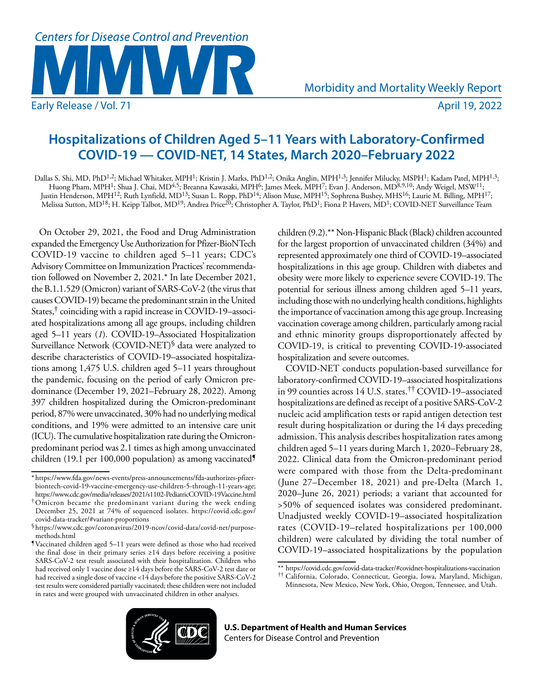

# **Hospitalizations of Children Aged 5–11 Years with Laboratory-Confirmed COVID-19 — COVID-NET, 14 States, March 2020–February 2022**

Dallas S. Shi, MD, PhD<sup>1,2</sup>; Michael Whitaker, MPH<sup>1</sup>; Kristin J. Marks, PhD<sup>1,2</sup>; Onika Anglin, MPH<sup>1,3</sup>; Jennifer Milucky, MSPH<sup>1</sup>; Kadam Patel, MPH<sup>1,3</sup>; Huong Pham, MPH<sup>1</sup>; Shua J. Chai, MD<sup>4,5</sup>; Breanna Kawasaki, MPH<sup>6</sup>; James Meek, MPH<sup>7</sup>; Evan J. Anderson, MD<sup>8,9,10</sup>; Andy Weigel, MSW<sup>11</sup>; Justin Henderson, MPH12; Ruth Lynfield, MD13; Susan L. Ropp, PhD14; Alison Muse, MPH15; Sophrena Bushey, MHS16; Laurie M. Billing, MPH17; Melissa Sutton, MD<sup>18</sup>; H. Keipp Talbot, MD<sup>19</sup>; Andrea Price<sup>20</sup>; Christopher A. Taylor, PhD<sup>1</sup>; Fiona P. Havers, MD<sup>1</sup>; COVID-NET Surveillance Team

On October 29, 2021, the Food and Drug Administration expanded the Emergency Use Authorization for Pfizer-BioNTech COVID-19 vaccine to children aged 5–11 years; CDC's Advisory Committee on Immunization Practices' recommendation followed on November 2, 2021.\* In late December 2021, the B.1.1.529 (Omicron) variant of SARS-CoV-2 (the virus that causes COVID-19) became the predominant strain in the United States,† coinciding with a rapid increase in COVID-19–associated hospitalizations among all age groups, including children aged 5–11 years (*1*). COVID-19–Associated Hospitalization Surveillance Network (COVID-NET)§ data were analyzed to describe characteristics of COVID-19–associated hospitalizations among 1,475 U.S. children aged 5–11 years throughout the pandemic, focusing on the period of early Omicron predominance (December 19, 2021–February 28, 2022). Among 397 children hospitalized during the Omicron-predominant period, 87% were unvaccinated, 30% had no underlying medical conditions, and 19% were admitted to an intensive care unit (ICU). The cumulative hospitalization rate during the Omicronpredominant period was 2.1 times as high among unvaccinated children (19.1 per 100,000 population) as among vaccinated¶ children (9.2).\*\* Non-Hispanic Black (Black) children accounted for the largest proportion of unvaccinated children (34%) and represented approximately one third of COVID-19–associated hospitalizations in this age group. Children with diabetes and obesity were more likely to experience severe COVID-19. The potential for serious illness among children aged 5–11 years, including those with no underlying health conditions, highlights the importance of vaccination among this age group. Increasing vaccination coverage among children, particularly among racial and ethnic minority groups disproportionately affected by COVID-19, is critical to preventing COVID-19-associated hospitalization and severe outcomes.

COVID-NET conducts population-based surveillance for laboratory-confirmed COVID-19–associated hospitalizations in 99 counties across 14 U.S. states.†† COVID-19–associated hospitalizations are defined as receipt of a positive SARS-CoV-2 nucleic acid amplification tests or rapid antigen detection test result during hospitalization or during the 14 days preceding admission. This analysis describes hospitalization rates among children aged 5–11 years during March 1, 2020–February 28, 2022. Clinical data from the Omicron-predominant period were compared with those from the Delta-predominant (June 27–December 18, 2021) and pre-Delta (March 1, 2020–June 26, 2021) periods; a variant that accounted for >50% of sequenced isolates was considered predominant. Unadjusted weekly COVID-19–associated hospitalization rates (COVID-19–related hospitalizations per 100,000 children) were calculated by dividing the total number of COVID-19–associated hospitalizations by the population



<sup>\*</sup> [https://www.fda.gov/news-events/press-announcements/fda-authorizes-pfizer](https://www.fda.gov/news-events/press-announcements/fda-authorizes-pfizer-biontech-covid-19-vaccine-emergency-use-children-5-through-11-years-age)[biontech-covid-19-vaccine-emergency-use-children-5-through-11-years-age](https://www.fda.gov/news-events/press-announcements/fda-authorizes-pfizer-biontech-covid-19-vaccine-emergency-use-children-5-through-11-years-age); <https://www.cdc.gov/media/releases/2021/s1102-PediatricCOVID-19Vaccine.html>

<sup>†</sup>Omicron became the predominant variant during the week ending December 25, 2021 at 74% of sequenced isolates. [https://covid.cdc.gov/](https://covid.cdc.gov/covid-data-tracker/#variant-proportions) [covid-data-tracker/#variant-proportions](https://covid.cdc.gov/covid-data-tracker/#variant-proportions)

<sup>§</sup>[https://www.cdc.gov/coronavirus/2019-ncov/covid-data/covid-net/purpose](https://www.cdc.gov/coronavirus/2019-ncov/covid-data/covid-net/purpose-methods.html)[methods.html](https://www.cdc.gov/coronavirus/2019-ncov/covid-data/covid-net/purpose-methods.html)

<sup>¶</sup>Vaccinated children aged 5–11 years were defined as those who had received the final dose in their primary series ≥14 days before receiving a positive SARS-CoV-2 test result associated with their hospitalization. Children who had received only 1 vaccine dose ≥14 days before the SARS-CoV-2 test date or had received a single dose of vaccine <14 days before the positive SARS-CoV-2 test results were considered partially vaccinated; these children were not included in rates and were grouped with unvaccinated children in other analyses.

<sup>\*\*</sup> <https://covid.cdc.gov/covid-data-tracker/#covidnet-hospitalizations-vaccination>

<sup>††</sup> California, Colorado, Connecticut, Georgia, Iowa, Maryland, Michigan, Minnesota, New Mexico, New York, Ohio, Oregon, Tennessee, and Utah.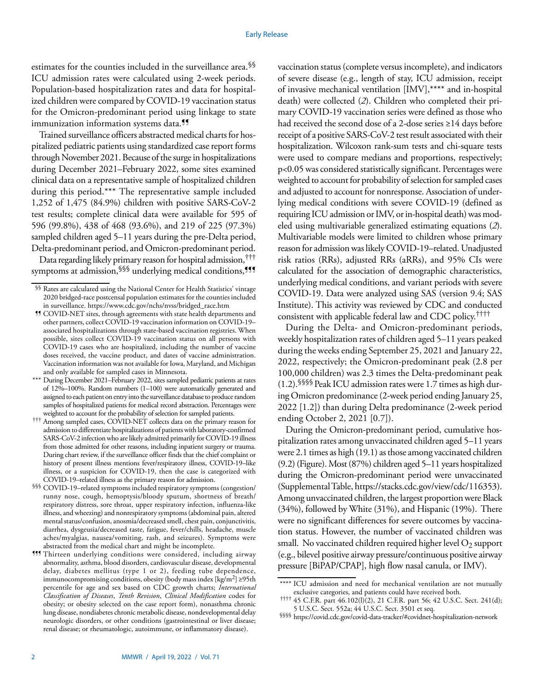estimates for the counties included in the surveillance area.§§ ICU admission rates were calculated using 2-week periods. Population-based hospitalization rates and data for hospitalized children were compared by COVID-19 vaccination status for the Omicron-predominant period using linkage to state immunization information systems data.<sup>11</sup>

Trained surveillance officers abstracted medical charts for hospitalized pediatric patients using standardized case report forms through November 2021. Because of the surge in hospitalizations during December 2021–February 2022, some sites examined clinical data on a representative sample of hospitalized children during this period.\*\*\* The representative sample included 1,252 of 1,475 (84.9%) children with positive SARS-CoV-2 test results; complete clinical data were available for 595 of 596 (99.8%), 438 of 468 (93.6%), and 219 of 225 (97.3%) sampled children aged 5–11 years during the pre-Delta period, Delta-predominant period, and Omicron-predominant period.

Data regarding likely primary reason for hospital admission,††† symptoms at admission, SSS underlying medical conditions, <sup>999</sup> vaccination status (complete versus incomplete), and indicators of severe disease (e.g., length of stay, ICU admission, receipt of invasive mechanical ventilation [IMV],\*\*\*\* and in-hospital death) were collected (*2*). Children who completed their primary COVID-19 vaccination series were defined as those who had received the second dose of a 2-dose series ≥14 days before receipt of a positive SARS-CoV-2 test result associated with their hospitalization. Wilcoxon rank-sum tests and chi-square tests were used to compare medians and proportions, respectively; p<0.05 was considered statistically significant. Percentages were weighted to account for probability of selection for sampled cases and adjusted to account for nonresponse. Association of underlying medical conditions with severe COVID-19 (defined as requiring ICU admission or IMV, or in-hospital death) was modeled using multivariable generalized estimating equations (*2*). Multivariable models were limited to children whose primary reason for admission was likely COVID-19–related. Unadjusted risk ratios (RRs), adjusted RRs (aRRs), and 95% CIs were calculated for the association of demographic characteristics, underlying medical conditions, and variant periods with severe COVID-19. Data were analyzed using SAS (version 9.4; SAS Institute). This activity was reviewed by CDC and conducted consistent with applicable federal law and CDC policy.††††

During the Delta- and Omicron-predominant periods, weekly hospitalization rates of children aged 5–11 years peaked during the weeks ending September 25, 2021 and January 22, 2022, respectively; the Omicron-predominant peak (2.8 per 100,000 children) was 2.3 times the Delta-predominant peak (1.2).§§§§ Peak ICU admission rates were 1.7 times as high during Omicron predominance (2-week period ending January 25, 2022 [1.2]) than during Delta predominance (2-week period ending October 2, 2021 [0.7]).

During the Omicron-predominant period, cumulative hospitalization rates among unvaccinated children aged 5–11 years were 2.1 times as high (19.1) as those among vaccinated children (9.2) (Figure). Most (87%) children aged 5–11 years hospitalized during the Omicron-predominant period were unvaccinated (Supplemental Table, [https://stacks.cdc.gov/view/cdc/116353\)](https://stacks.cdc.gov/view/cdc/116353). Among unvaccinated children, the largest proportion were Black (34%), followed by White (31%), and Hispanic (19%). There were no significant differences for severe outcomes by vaccination status. However, the number of vaccinated children was small. No vaccinated children required higher level  $O_2$  support (e.g., bilevel positive airway pressure/continuous positive airway pressure [BiPAP/CPAP], high flow nasal canula, or IMV).

<sup>§§</sup> Rates are calculated using the National Center for Health Statistics' vintage 2020 bridged-race postcensal population estimates for the counties included in surveillance. [https://www.cdc.gov/nchs/nvss/bridged\\_race.htm](https://www.cdc.gov/nchs/nvss/bridged_race.htm)

<sup>¶¶</sup> COVID-NET sites, through agreements with state health departments and other partners, collect COVID-19 vaccination information on COVID-19– associated hospitalizations through state-based vaccination registries. When possible, sites collect COVID-19 vaccination status on all persons with COVID-19 cases who are hospitalized, including the number of vaccine doses received, the vaccine product, and dates of vaccine administration. Vaccination information was not available for Iowa, Maryland, and Michigan and only available for sampled cases in Minnesota.

<sup>\*\*\*</sup> During December 2021–February 2022, sites sampled pediatric patients at rates of 12%–100%. Random numbers (1–100) were automatically generated and assigned to each patient on entry into the surveillance database to produce random samples of hospitalized patients for medical record abstraction. Percentages were weighted to account for the probability of selection for sampled patients.

<sup>†††</sup> Among sampled cases, COVID-NET collects data on the primary reason for admission to differentiate hospitalizations of patients with laboratory-confirmed SARS-CoV-2 infection who are likely admitted primarily for COVID-19 illness from those admitted for other reasons, including inpatient surgery or trauma. During chart review, if the surveillance officer finds that the chief complaint or history of present illness mentions fever/respiratory illness, COVID-19–like illness, or a suspicion for COVID-19, then the case is categorized with COVID-19–related illness as the primary reason for admission.

<sup>§§§</sup> COVID-19–related symptoms included respiratory symptoms (congestion/ runny nose, cough, hemoptysis/bloody sputum, shortness of breath/ respiratory distress, sore throat, upper respiratory infection, influenza-like illness, and wheezing) and nonrespiratory symptoms (abdominal pain, altered mental status/confusion, anosmia/decreased smell, chest pain, conjunctivitis, diarrhea, dysgeusia/decreased taste, fatigue, fever/chills, headache, muscle aches/myalgias, nausea/vomiting, rash, and seizures). Symptoms were abstracted from the medical chart and might be incomplete.

<sup>¶¶¶</sup> Thirteen underlying conditions were considered, including airway abnormality, asthma, blood disorders, cardiovascular disease, developmental delay, diabetes mellitus (type 1 or 2), feeding tube dependence, immunocompromising conditions, obesity (body mass index [kg/m2] ≥95th percentile for age and sex based on CDC growth charts; *International Classification of Diseases*, *Tenth Revision*, *Clinical Modification* codes for obesity; or obesity selected on the case report form), nonasthma chronic lung disease, nondiabetes chronic metabolic disease, nondevelopmental delay neurologic disorders, or other conditions (gastrointestinal or liver disease; renal disease; or rheumatologic, autoimmune, or inflammatory disease).

<sup>\*\*\*\*</sup> ICU admission and need for mechanical ventilation are not mutually exclusive categories, and patients could have received both.

<sup>††††</sup> 45 C.F.R. part 46.102(l)(2), 21 C.F.R. part 56; 42 U.S.C. Sect. 241(d); 5 U.S.C. Sect. 552a; 44 U.S.C. Sect. 3501 et seq.

<sup>§§§§</sup> <https://covid.cdc.gov/covid-data-tracker/#covidnet-hospitalization-network>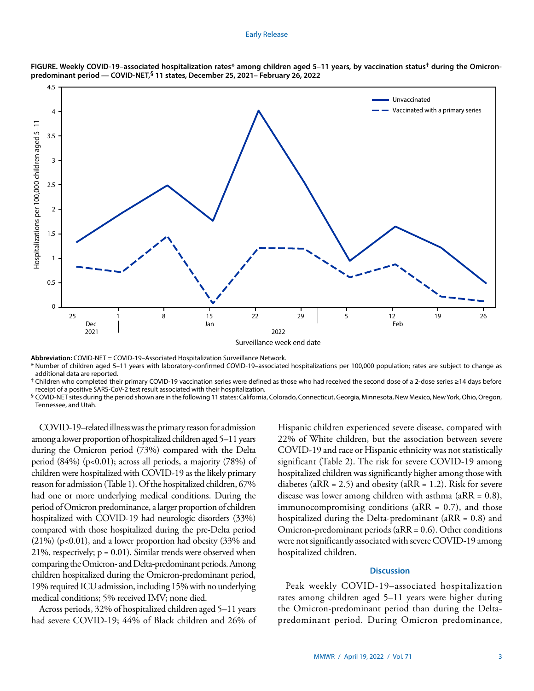#### Early Release



**FIGURE. Weekly COVID-19–associated hospitalization rates\* among children aged 5–11 years, by vaccination status† during the Omicronpredominant period — COVID-NET,§ 11 states, December 25, 2021– February 26, 2022**

**Abbreviation:** COVID-NET = COVID-19–Associated Hospitalization Surveillance Network.

\* Number of children aged 5–11 years with laboratory-confirmed COVID-19–associated hospitalizations per 100,000 population; rates are subject to change as additional data are reported.

† Children who completed their primary COVID-19 vaccination series were defined as those who had received the second dose of a 2-dose series ≥14 days before receipt of a positive SARS-CoV-2 test result associated with their hospitalization.

§ COVID-NET sites during the period shown are in the following 11 states: California, Colorado, Connecticut, Georgia, Minnesota, New Mexico, New York, Ohio, Oregon, Tennessee, and Utah.

COVID-19–related illness was the primary reason for admission among a lower proportion of hospitalized children aged 5–11 years during the Omicron period (73%) compared with the Delta period  $(84%)$  (p<0.01); across all periods, a majority  $(78%)$  of children were hospitalized with COVID-19 as the likely primary reason for admission (Table 1). Of the hospitalized children, 67% had one or more underlying medical conditions. During the period of Omicron predominance, a larger proportion of children hospitalized with COVID-19 had neurologic disorders (33%) compared with those hospitalized during the pre-Delta period  $(21\%)$  (p<0.01), and a lower proportion had obesity  $(33\%$  and 21%, respectively;  $p = 0.01$ ). Similar trends were observed when comparing the Omicron- and Delta-predominant periods. Among children hospitalized during the Omicron-predominant period, 19% required ICU admission, including 15% with no underlying medical conditions; 5% received IMV; none died.

Across periods, 32% of hospitalized children aged 5–11 years had severe COVID-19; 44% of Black children and 26% of Hispanic children experienced severe disease, compared with 22% of White children, but the association between severe COVID-19 and race or Hispanic ethnicity was not statistically significant (Table 2). The risk for severe COVID-19 among hospitalized children was significantly higher among those with diabetes ( $aRR = 2.5$ ) and obesity ( $aRR = 1.2$ ). Risk for severe disease was lower among children with asthma ( $aRR = 0.8$ ), immunocompromising conditions ( $aRR = 0.7$ ), and those hospitalized during the Delta-predominant (aRR = 0.8) and Omicron-predominant periods (aRR = 0.6). Other conditions were not significantly associated with severe COVID-19 among hospitalized children.

# **Discussion**

Peak weekly COVID-19–associated hospitalization rates among children aged 5–11 years were higher during the Omicron-predominant period than during the Deltapredominant period. During Omicron predominance,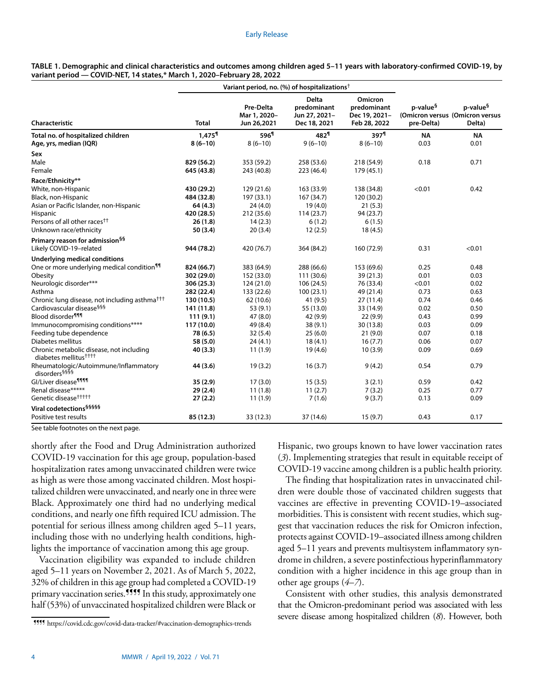| TABLE 1. Demographic and clinical characteristics and outcomes among children aged 5-11 years with laboratory-confirmed COVID-19, by |  |
|--------------------------------------------------------------------------------------------------------------------------------------|--|
| variant period — COVID-NET, 14 states,* March 1, 2020–February 28, 2022                                                              |  |

|                                                                               |                      | Variant period, no. (%) of hospitalizations <sup>†</sup> |                                                              |                                                         |                                                                       |                                |
|-------------------------------------------------------------------------------|----------------------|----------------------------------------------------------|--------------------------------------------------------------|---------------------------------------------------------|-----------------------------------------------------------------------|--------------------------------|
| Characteristic                                                                | <b>Total</b>         | Pre-Delta<br>Mar 1, 2020-<br>Jun 26,2021                 | <b>Delta</b><br>predominant<br>Jun 27, 2021-<br>Dec 18, 2021 | Omicron<br>predominant<br>Dec 19, 2021-<br>Feb 28, 2022 | p-value <sup>§</sup><br>(Omicron versus (Omicron versus<br>pre-Delta) | p-value <sup>§</sup><br>Delta) |
| Total no. of hospitalized children                                            | $1,475$ <sup>1</sup> | 596 <sup>1</sup>                                         | 482 <sup>1</sup>                                             | 397 <sup>1</sup>                                        | <b>NA</b>                                                             | <b>NA</b>                      |
| Age, yrs, median (IQR)                                                        | $8(6-10)$            | $8(6-10)$                                                | $9(6-10)$                                                    | $8(6-10)$                                               | 0.03                                                                  | 0.01                           |
| Sex                                                                           |                      |                                                          |                                                              |                                                         |                                                                       |                                |
| Male                                                                          | 829 (56.2)           | 353 (59.2)                                               | 258 (53.6)                                                   | 218 (54.9)                                              | 0.18                                                                  | 0.71                           |
| Female                                                                        | 645 (43.8)           | 243 (40.8)                                               | 223 (46.4)                                                   | 179 (45.1)                                              |                                                                       |                                |
| Race/Ethnicity**                                                              |                      |                                                          |                                                              |                                                         |                                                                       |                                |
| White, non-Hispanic                                                           | 430 (29.2)           | 129 (21.6)                                               | 163 (33.9)                                                   | 138 (34.8)                                              | < 0.01                                                                | 0.42                           |
| Black, non-Hispanic                                                           | 484 (32.8)           | 197 (33.1)                                               | 167 (34.7)                                                   | 120 (30.2)                                              |                                                                       |                                |
| Asian or Pacific Islander, non-Hispanic                                       | 64(4.3)              | 24(4.0)                                                  | 19(4.0)                                                      | 21(5.3)                                                 |                                                                       |                                |
| Hispanic                                                                      | 420 (28.5)           | 212 (35.6)                                               | 114(23.7)                                                    | 94 (23.7)                                               |                                                                       |                                |
| Persons of all other races <sup>††</sup>                                      | 26(1.8)              | 14(2.3)                                                  | 6(1.2)                                                       | 6(1.5)                                                  |                                                                       |                                |
| Unknown race/ethnicity                                                        | 50(3.4)              | 20(3.4)                                                  | 12(2.5)                                                      | 18(4.5)                                                 |                                                                       |                                |
| Primary reason for admission <sup>§§</sup>                                    |                      |                                                          |                                                              |                                                         |                                                                       |                                |
| Likely COVID-19-related                                                       | 944 (78.2)           | 420 (76.7)                                               | 364 (84.2)                                                   | 160 (72.9)                                              | 0.31                                                                  | < 0.01                         |
| <b>Underlying medical conditions</b>                                          |                      |                                                          |                                                              |                                                         |                                                                       |                                |
| One or more underlying medical condition <sup>11</sup>                        | 824 (66.7)           | 383 (64.9)                                               | 288 (66.6)                                                   | 153 (69.6)                                              | 0.25                                                                  | 0.48                           |
| Obesity                                                                       | 302 (29.0)           | 152 (33.0)                                               | 111 (30.6)                                                   | 39 (21.3)                                               | 0.01                                                                  | 0.03                           |
| Neurologic disorder***                                                        | 306 (25.3)           | 124 (21.0)                                               | 106 (24.5)                                                   | 76 (33.4)                                               | < 0.01                                                                | 0.02                           |
| Asthma                                                                        | 282 (22.4)           | 133 (22.6)                                               | 100(23.1)                                                    | 49 (21.4)                                               | 0.73                                                                  | 0.63                           |
| Chronic lung disease, not including asthma <sup>†††</sup>                     | 130 (10.5)           | 62 (10.6)                                                | 41 (9.5)                                                     | 27(11.4)                                                | 0.74                                                                  | 0.46                           |
| Cardiovascular disease <sup>§§§</sup>                                         | 141 (11.8)           | 53 (9.1)                                                 | 55 (13.0)                                                    | 33 (14.9)                                               | 0.02                                                                  | 0.50                           |
| Blood disorder <sup>111</sup>                                                 | 111(9.1)             | 47(8.0)                                                  | 42 (9.9)                                                     | 22(9.9)                                                 | 0.43                                                                  | 0.99                           |
| Immunocompromising conditions****                                             | 117 (10.0)           | 49 (8.4)                                                 | 38(9.1)                                                      | 30 (13.8)                                               | 0.03                                                                  | 0.09                           |
| Feeding tube dependence                                                       | 78 (6.5)             | 32(5.4)                                                  | 25(6.0)                                                      | 21(9.0)                                                 | 0.07                                                                  | 0.18                           |
| Diabetes mellitus                                                             | 58 (5.0)             | 24(4.1)                                                  | 18(4.1)                                                      | 16(7.7)                                                 | 0.06                                                                  | 0.07                           |
| Chronic metabolic disease, not including<br>diabetes mellitus <sup>††††</sup> | 40(3.3)              | 11(1.9)                                                  | 19(4.6)                                                      | 10(3.9)                                                 | 0.09                                                                  | 0.69                           |
| Rheumatologic/Autoimmune/Inflammatory<br>disorders <sup>§§§§</sup>            | 44 (3.6)             | 19(3.2)                                                  | 16(3.7)                                                      | 9(4.2)                                                  | 0.54                                                                  | 0.79                           |
| Gl/Liver disease <sup>9999</sup>                                              | 35(2.9)              | 17(3.0)                                                  | 15(3.5)                                                      | 3(2.1)                                                  | 0.59                                                                  | 0.42                           |
| Renal disease*****                                                            | 29(2.4)              | 11(1.8)                                                  | 11(2.7)                                                      | 7(3.2)                                                  | 0.25                                                                  | 0.77                           |
| Genetic disease <sup>†††††</sup>                                              | 27(2.2)              | 11(1.9)                                                  | 7(1.6)                                                       | 9(3.7)                                                  | 0.13                                                                  | 0.09                           |
| Viral codetections <sup>§§§§§</sup>                                           |                      |                                                          |                                                              |                                                         |                                                                       |                                |
| Positive test results                                                         | 85 (12.3)            | 33 (12.3)                                                | 37 (14.6)                                                    | 15(9.7)                                                 | 0.43                                                                  | 0.17                           |
| $\mathbf{r}$                                                                  |                      |                                                          |                                                              |                                                         |                                                                       |                                |

See table footnotes on the next page.

shortly after the Food and Drug Administration authorized COVID-19 vaccination for this age group, population-based hospitalization rates among unvaccinated children were twice as high as were those among vaccinated children. Most hospitalized children were unvaccinated, and nearly one in three were Black. Approximately one third had no underlying medical conditions, and nearly one fifth required ICU admission. The potential for serious illness among children aged 5–11 years, including those with no underlying health conditions, highlights the importance of vaccination among this age group.

Vaccination eligibility was expanded to include children aged 5–11 years on November 2, 2021. As of March 5, 2022, 32% of children in this age group had completed a COVID-19 primary vaccination series.<sup>9999</sup> In this study, approximately one half (53%) of unvaccinated hospitalized children were Black or Hispanic, two groups known to have lower vaccination rates (*3*). Implementing strategies that result in equitable receipt of COVID-19 vaccine among children is a public health priority.

The finding that hospitalization rates in unvaccinated children were double those of vaccinated children suggests that vaccines are effective in preventing COVID-19–associated morbidities. This is consistent with recent studies, which suggest that vaccination reduces the risk for Omicron infection, protects against COVID-19–associated illness among children aged 5–11 years and prevents multisystem inflammatory syndrome in children, a severe postinfectious hyperinflammatory condition with a higher incidence in this age group than in other age groups (*4*–*7*).

Consistent with other studies, this analysis demonstrated that the Omicron-predominant period was associated with less severe disease among hospitalized children (*8*). However, both

<sup>¶¶¶¶</sup> <https://covid.cdc.gov/covid-data-tracker/#vaccination-demographics-trends>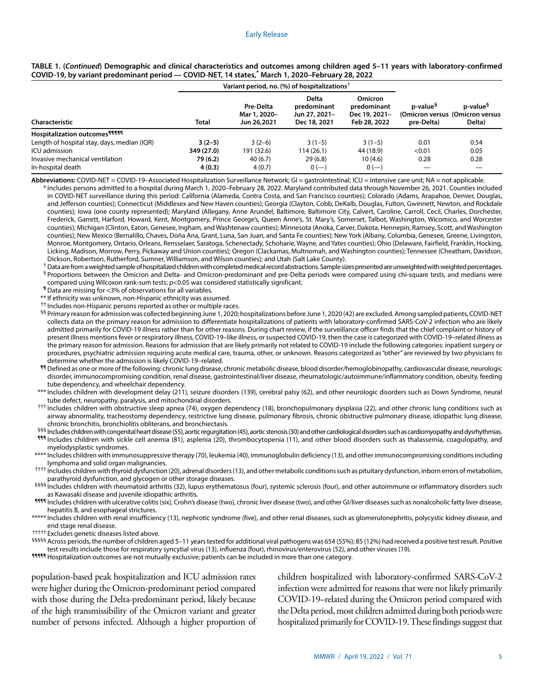#### Early Release

|                                             | Variant period, no. (%) of hospitalizations <sup>†</sup> |                                          |                                                              |                                                                |                                    |                                                                    |
|---------------------------------------------|----------------------------------------------------------|------------------------------------------|--------------------------------------------------------------|----------------------------------------------------------------|------------------------------------|--------------------------------------------------------------------|
| Characteristic                              | <b>Total</b>                                             | Pre-Delta<br>Mar 1, 2020-<br>Jun 26,2021 | <b>Delta</b><br>predominant<br>Jun 27, 2021-<br>Dec 18, 2021 | <b>Omicron</b><br>predominant<br>Dec 19, 2021-<br>Feb 28, 2022 | p-value <sup>9</sup><br>pre-Delta) | p-value <sup>§</sup><br>(Omicron versus (Omicron versus)<br>Delta) |
| Hospitalization outcomes <sup>91999</sup>   |                                                          |                                          |                                                              |                                                                |                                    |                                                                    |
| Length of hospital stay, days, median (IQR) | $3(2-5)$                                                 | $3(2-6)$                                 | $3(1-5)$                                                     | $3(1-5)$                                                       | 0.01                               | 0.54                                                               |
| ICU admission                               | 349 (27.0)                                               | 191 (32.6)                               | 114 (26.1)                                                   | 44 (18.9)                                                      | < 0.01                             | 0.05                                                               |
| Invasive mechanical ventilation             | 79 (6.2)                                                 | 40(6.7)                                  | 29(6.8)                                                      | 10(4.6)                                                        | 0.28                               | 0.28                                                               |
| In-hospital death                           | 4(0.3)                                                   | 4(0.7)                                   | $0 (-)$                                                      | $0 (-)$                                                        |                                    |                                                                    |

# **TABLE 1. (***Continued***) Demographic and clinical characteristics and outcomes among children aged 5–11 years with laboratory-confirmed COVID-19, by variant predominant period — COVID-NET, 14 states,\* March 1, 2020–February 28, 2022**

**Abbreviations:** COVID-NET = COVID-19–Associated Hospitalization Surveillance Network; GI = gastrointestinal; ICU = intensive care unit; NA = not applicable.

\* Includes persons admitted to a hospital during March 1, 2020–February 28, 2022. Maryland contributed data through November 26, 2021. Counties included in COVID-NET surveillance during this period: California (Alameda, Contra Costa, and San Francisco counties); Colorado (Adams, Arapahoe, Denver, Douglas, and Jefferson counties); Connecticut (Middlesex and New Haven counties); Georgia (Clayton, Cobb, DeKalb, Douglas, Fulton, Gwinnett, Newton, and Rockdale counties); Iowa (one county represented); Maryland (Allegany, Anne Arundel, Baltimore, Baltimore City, Calvert, Caroline, Carroll, Cecil, Charles, Dorchester, Frederick, Garrett, Harford, Howard, Kent, Montgomery, Prince George's, Queen Anne's, St. Mary's, Somerset, Talbot, Washington, Wicomico, and Worcester counties); Michigan (Clinton, Eaton, Genesee, Ingham, and Washtenaw counties); Minnesota (Anoka, Carver, Dakota, Hennepin, Ramsey, Scott, and Washington counties); New Mexico (Bernalillo, Chaves, Doña Ana, Grant, Luna, San Juan, and Santa Fe counties); New York (Albany, Columbia, Genesee, Greene, Livingston, Monroe, Montgomery, Ontario, Orleans, Rensselaer, Saratoga, Schenectady, Schoharie, Wayne, and Yates counties); Ohio (Delaware, Fairfield, Franklin, Hocking, Licking, Madison, Morrow, Perry, Pickaway and Union counties); Oregon (Clackamas, Multnomah, and Washington counties); Tennessee (Cheatham, Davidson, Dickson, Robertson, Rutherford, Sumner, Williamson, and Wilson counties); and Utah (Salt Lake County).

<sup>+</sup> Data are from a weighted sample of hospitalized children with completed medical record abstractions. Sample sizes presented are unweighted with weighted percentages.

§ Proportions between the Omicron and Delta- and Omicron-predominant and pre-Delta periods were compared using chi-square tests, and medians were compared using Wilcoxon rank-sum tests; p<0.05 was considered statistically significant.

¶ Data are missing for <3% of observations for all variables.

\*\* If ethnicity was unknown, non-Hispanic ethnicity was assumed.

†† Includes non-Hispanic persons reported as other or multiple races.

§§ Primary reason for admission was collected beginning June 1, 2020; hospitalizations before June 1, 2020 (42) are excluded. Among sampled patients, COVID-NET collects data on the primary reason for admission to differentiate hospitalizations of patients with laboratory-confirmed SARS-CoV-2 infection who are likely admitted primarily for COVID-19 illness rather than for other reasons. During chart review, if the surveillance officer finds that the chief complaint or history of present illness mentions fever or respiratory illness, COVID-19–like illness, or suspected COVID-19, then the case is categorized with COVID-19–related illness as the primary reason for admission. Reasons for admission that are likely primarily not related to COVID-19 include the following categories: inpatient surgery or procedures, psychiatric admission requiring acute medical care, trauma, other, or unknown. Reasons categorized as "other" are reviewed by two physicians to determine whether the admission is likely COVID-19–related.

¶¶ Defined as one or more of the following: chronic lung disease, chronic metabolic disease, blood disorder/hemoglobinopathy, cardiovascular disease, neurologic disorder, immunocompromising condition, renal disease, gastrointestinal/liver disease, rheumatologic/autoimmune/inflammatory condition, obesity, feeding tube dependency, and wheelchair dependency.

- \*\*\* Includes children with development delay (211), seizure disorders (139), cerebral palsy (62), and other neurologic disorders such as Down Syndrome, neural tube defect, neuropathy, paralysis, and mitochondrial disorders.
- ††† Includes children with obstructive sleep apnea (74), oxygen dependency (18), bronchopulmonary dysplasia (22), and other chronic lung conditions such as airway abnormality, tracheostomy dependency, restrictive lung disease, pulmonary fibrosis, chronic obstructive pulmonary disease, idiopathic lung disease, chronic bronchitis, bronchiolitis obliterans, and bronchiectasis.

§§§ Includes children with congenital heart disease (55), aortic regurgitation (45), aortic stenosis (30) and other cardiological disorders such as cardiomyopathy and dysrhythmias. **<sup>111</sup>** Includes children with sickle cell anemia (81), asplenia (20), thrombocytopenia (11), and other blood disorders such as thalassemia, coagulopathy, and myelodysplastic syndromes.

\*\*\*\* Includes children with immunosuppressive therapy (70), leukemia (40), immunoglobulin deficiency (13), and other immunocompromising conditions including lymphoma and solid organ malignancies.

†††† Includes children with thyroid dysfunction (20), adrenal disorders (13), and other metabolic conditions such as pituitary dysfunction, inborn errors of metabolism, parathyroid dysfunction, and glycogen or other storage diseases.

§§§§§ Includes children with rheumatoid arthritis (32), lupus erythematosus (four), systemic sclerosis (four), and other autoimmune or inflammatory disorders such as Kawasaki disease and juvenile idiopathic arthritis.

**1111** Includes children with ulcerative colitis (six), Crohn's disease (two), chronic liver disease (two), and other GI/liver diseases such as nonalcoholic fatty liver disease, hepatitis B, and esophageal strictures.

\*\*\*\*\* Includes children with renal insufficiency (13), nephrotic syndrome (five), and other renal diseases, such as glomerulonephritis, polycystic kidney disease, and end stage renal disease.

††††† Excludes genetic diseases listed above.

§§§§§ Across periods, the number of children aged 5–11 years tested for additional viral pathogens was 654 (55%); 85 (12%) had received a positive test result. Positive test results include those for respiratory syncytial virus (13), influenza (four), rhinovirus/enterovirus (52), and other viruses (19).

**11111** Hospitalization outcomes are not mutually exclusive; patients can be included in more than one category.

population-based peak hospitalization and ICU admission rates were higher during the Omicron-predominant period compared with those during the Delta-predominant period, likely because of the high transmissibility of the Omicron variant and greater number of persons infected. Although a higher proportion of children hospitalized with laboratory-confirmed SARS-CoV-2 infection were admitted for reasons that were not likely primarily COVID-19–related during the Omicron period compared with the Delta period, most children admitted during both periods were hospitalized primarily for COVID-19. These findings suggest that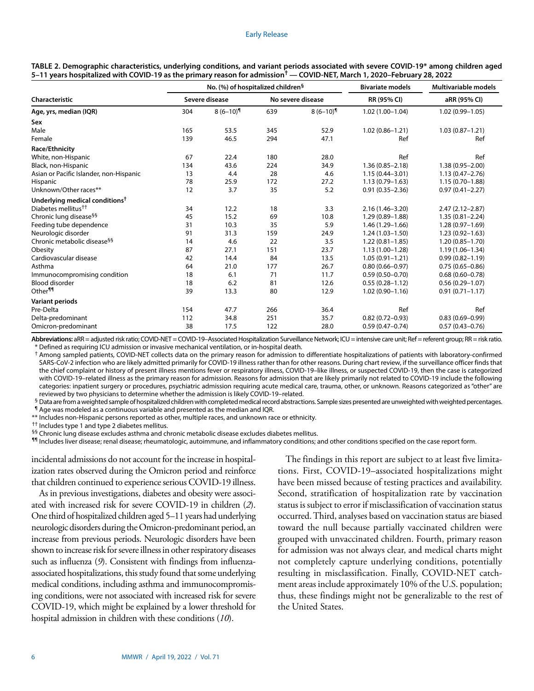|                                            |                | No. $%$ ) of hospitalized children <sup>§</sup> |                   | <b>Bivariate models</b>  | Multivariable models |                     |  |
|--------------------------------------------|----------------|-------------------------------------------------|-------------------|--------------------------|----------------------|---------------------|--|
| Characteristic                             | Severe disease |                                                 | No severe disease |                          | RR (95% CI)          | aRR (95% CI)        |  |
| Age, yrs, median (IQR)                     | 304            | $8(6-10)$                                       | 639               | $8(6-10)$ <sup>[1]</sup> | $1.02(1.00-1.04)$    | $1.02(0.99 - 1.05)$ |  |
| Sex                                        |                |                                                 |                   |                          |                      |                     |  |
| Male                                       | 165            | 53.5                                            | 345               | 52.9                     | $1.02(0.86 - 1.21)$  | $1.03(0.87 - 1.21)$ |  |
| Female                                     | 139            | 46.5                                            | 294               | 47.1                     | Ref                  | Ref                 |  |
| Race/Ethnicity                             |                |                                                 |                   |                          |                      |                     |  |
| White, non-Hispanic                        | 67             | 22.4                                            | 180               | 28.0                     | Ref                  | Ref                 |  |
| Black, non-Hispanic                        | 134            | 43.6                                            | 224               | 34.9                     | $1.36(0.85 - 2.18)$  | $1.38(0.95 - 2.00)$ |  |
| Asian or Pacific Islander, non-Hispanic    | 13             | 4.4                                             | 28                | 4.6                      | $1.15(0.44 - 3.01)$  | $1.13(0.47 - 2.76)$ |  |
| Hispanic                                   | 78             | 25.9                                            | 172               | 27.2                     | $1.13(0.79 - 1.63)$  | $1.15(0.70 - 1.88)$ |  |
| Unknown/Other races**                      | 12             | 3.7                                             | 35                | 5.2                      | $0.91(0.35 - 2.36)$  | $0.97(0.41 - 2.27)$ |  |
| Underlying medical conditions <sup>†</sup> |                |                                                 |                   |                          |                      |                     |  |
| Diabetes mellitus <sup>††</sup>            | 34             | 12.2                                            | 18                | 3.3                      | $2.16(1.46 - 3.20)$  | $2.47(2.12 - 2.87)$ |  |
| Chronic lung disease <sup>§§</sup>         | 45             | 15.2                                            | 69                | 10.8                     | $1.29(0.89 - 1.88)$  | $1.35(0.81 - 2.24)$ |  |
| Feeding tube dependence                    | 31             | 10.3                                            | 35                | 5.9                      | 1.46 (1.29-1.66)     | $1.28(0.97 - 1.69)$ |  |
| Neurologic disorder                        | 91             | 31.3                                            | 159               | 24.9                     | $1.24(1.03 - 1.50)$  | $1.23(0.92 - 1.63)$ |  |
| Chronic metabolic disease <sup>§§</sup>    | 14             | 4.6                                             | 22                | 3.5                      | $1.22(0.81 - 1.85)$  | $1.20(0.85 - 1.70)$ |  |
| Obesity                                    | 87             | 27.1                                            | 151               | 23.7                     | $1.13(1.00-1.28)$    | $1.19(1.06 - 1.34)$ |  |
| Cardiovascular disease                     | 42             | 14.4                                            | 84                | 13.5                     | $1.05(0.91 - 1.21)$  | $0.99(0.82 - 1.19)$ |  |
| Asthma                                     | 64             | 21.0                                            | 177               | 26.7                     | $0.80(0.66 - 0.97)$  | $0.75(0.65 - 0.86)$ |  |
| Immunocompromising condition               | 18             | 6.1                                             | 71                | 11.7                     | $0.59(0.50 - 0.70)$  | $0.68(0.60 - 0.78)$ |  |
| <b>Blood disorder</b>                      | 18             | 6.2                                             | 81                | 12.6                     | $0.55(0.28 - 1.12)$  | $0.56(0.29 - 1.07)$ |  |
| Other <sup>11</sup>                        | 39             | 13.3                                            | 80                | 12.9                     | $1.02(0.90 - 1.16)$  | $0.91(0.71 - 1.17)$ |  |
| <b>Variant periods</b>                     |                |                                                 |                   |                          |                      |                     |  |
| Pre-Delta                                  | 154            | 47.7                                            | 266               | 36.4                     | Ref                  | Ref                 |  |
| Delta-predominant                          | 112            | 34.8                                            | 251               | 35.7                     | $0.82(0.72 - 0.93)$  | $0.83(0.69 - 0.99)$ |  |
| Omicron-predominant                        | 38             | 17.5                                            | 122               | 28.0                     | $0.59(0.47 - 0.74)$  | $0.57(0.43 - 0.76)$ |  |

**TABLE 2. Demographic characteristics, underlying conditions, and variant periods associated with severe COVID-19\* among children aged 5–11 years hospitalized with COVID-19 as the primary reason for admission† — COVID-NET, March 1, 2020–February 28, 2022**

**Abbreviations:** aRR = adjusted risk ratio; COVID-NET = COVID-19–Associated Hospitalization Surveillance Network; ICU = intensive care unit; Ref = referent group; RR = risk ratio. \* Defined as requiring ICU admission or invasive mechanical ventilation, or in-hospital death.

† Among sampled patients, COVID-NET collects data on the primary reason for admission to differentiate hospitalizations of patients with laboratory-confirmed SARS-CoV-2 infection who are likely admitted primarily for COVID-19 illness rather than for other reasons. During chart review, if the surveillance officer finds that the chief complaint or history of present illness mentions fever or respiratory illness, COVID-19–like illness, or suspected COVID-19, then the case is categorized with COVID-19–related illness as the primary reason for admission. Reasons for admission that are likely primarily not related to COVID-19 include the following categories: inpatient surgery or procedures, psychiatric admission requiring acute medical care, trauma, other, or unknown. Reasons categorized as "other" are reviewed by two physicians to determine whether the admission is likely COVID-19–related.

§ Data are from a weighted sample of hospitalized children with completed medical record abstractions. Sample sizes presented are unweighted with weighted percentages. ¶ Age was modeled as a continuous variable and presented as the median and IQR.

\*\* Includes non-Hispanic persons reported as other, multiple races, and unknown race or ethnicity.

†† Includes type 1 and type 2 diabetes mellitus.

§§ Chronic lung disease excludes asthma and chronic metabolic disease excludes diabetes mellitus.

¶¶ Includes liver disease; renal disease; rheumatologic, autoimmune, and inflammatory conditions; and other conditions specified on the case report form.

incidental admissions do not account for the increase in hospitalization rates observed during the Omicron period and reinforce that children continued to experience serious COVID-19 illness.

As in previous investigations, diabetes and obesity were associated with increased risk for severe COVID-19 in children (*2*). One third of hospitalized children aged 5–11 years had underlying neurologic disorders during the Omicron-predominant period, an increase from previous periods. Neurologic disorders have been shown to increase risk for severe illness in other respiratory diseases such as influenza (*9*). Consistent with findings from influenzaassociated hospitalizations, this study found that some underlying medical conditions, including asthma and immunocompromising conditions, were not associated with increased risk for severe COVID-19, which might be explained by a lower threshold for hospital admission in children with these conditions (*10*).

The findings in this report are subject to at least five limitations. First, COVID-19–associated hospitalizations might have been missed because of testing practices and availability. Second, stratification of hospitalization rate by vaccination status is subject to error if misclassification of vaccination status occurred. Third, analyses based on vaccination status are biased toward the null because partially vaccinated children were grouped with unvaccinated children. Fourth, primary reason for admission was not always clear, and medical charts might not completely capture underlying conditions, potentially resulting in misclassification. Finally, COVID-NET catchment areas include approximately 10% of the U.S. population; thus, these findings might not be generalizable to the rest of the United States.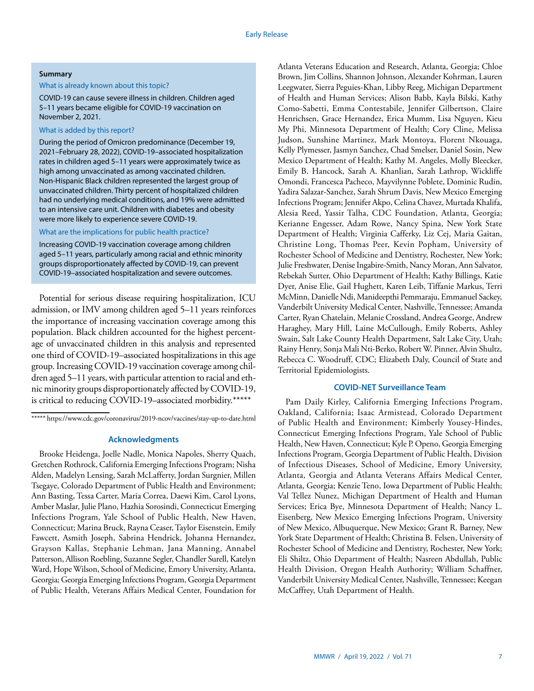# **Summary**

### What is already known about this topic?

COVID-19 can cause severe illness in children. Children aged 5–11 years became eligible for COVID-19 vaccination on November 2, 2021.

## What is added by this report?

During the period of Omicron predominance (December 19, 2021–February 28, 2022), COVID-19–associated hospitalization rates in children aged 5–11 years were approximately twice as high among unvaccinated as among vaccinated children. Non-Hispanic Black children represented the largest group of unvaccinated children. Thirty percent of hospitalized children had no underlying medical conditions, and 19% were admitted to an intensive care unit. Children with diabetes and obesity were more likely to experience severe COVID-19.

## What are the implications for public health practice?

Increasing COVID-19 vaccination coverage among children aged 5–11 years, particularly among racial and ethnic minority groups disproportionately affected by COVID-19, can prevent COVID-19–associated hospitalization and severe outcomes.

Potential for serious disease requiring hospitalization, ICU admission, or IMV among children aged 5–11 years reinforces the importance of increasing vaccination coverage among this population. Black children accounted for the highest percentage of unvaccinated children in this analysis and represented one third of COVID-19–associated hospitalizations in this age group. Increasing COVID-19 vaccination coverage among children aged 5–11 years, with particular attention to racial and ethnic minority groups disproportionately affected by COVID-19, is critical to reducing COVID-19–associated morbidity.\*\*\*\*\*

\*\*\*\*\*<https://www.cdc.gov/coronavirus/2019-ncov/vaccines/stay-up-to-date.html>

#### **Acknowledgments**

Brooke Heidenga, Joelle Nadle, Monica Napoles, Sherry Quach, Gretchen Rothrock, California Emerging Infections Program; Nisha Alden, Madelyn Lensing, Sarah McLafferty, Jordan Surgnier, Millen Tsegaye, Colorado Department of Public Health and Environment; Ann Basting, Tessa Carter, Maria Correa, Daewi Kim, Carol Lyons, Amber Maslar, Julie Plano, Hazhia Sorosindi, Connecticut Emerging Infections Program, Yale School of Public Health, New Haven, Connecticut; Marina Bruck, Rayna Ceaser, Taylor Eisenstein, Emily Fawcett, Asmith Joseph, Sabrina Hendrick, Johanna Hernandez, Grayson Kallas, Stephanie Lehman, Jana Manning, Annabel Patterson, Allison Roebling, Suzanne Segler, Chandler Surell, Katelyn Ward, Hope Wilson, School of Medicine, Emory University, Atlanta, Georgia; Georgia Emerging Infections Program, Georgia Department of Public Health, Veterans Affairs Medical Center, Foundation for Atlanta Veterans Education and Research, Atlanta, Georgia; Chloe Brown, Jim Collins, Shannon Johnson, Alexander Kohrman, Lauren Leegwater, Sierra Peguies-Khan, Libby Reeg, Michigan Department of Health and Human Services; Alison Babb, Kayla Bilski, Kathy Como-Sabetti, Emma Contestabile, Jennifer Gilbertson, Claire Henrichsen, Grace Hernandez, Erica Mumm, Lisa Nguyen, Kieu My Phi, Minnesota Department of Health; Cory Cline, Melissa Judson, Sunshine Martinez, Mark Montoya, Florent Nkouaga, Kelly Plymesser, Jasmyn Sanchez, Chad Smelser, Daniel Sosin, New Mexico Department of Health; Kathy M. Angeles, Molly Bleecker, Emily B. Hancock, Sarah A. Khanlian, Sarah Lathrop, Wickliffe Omondi, Francesca Pacheco, Mayvilynne Poblete, Dominic Rudin, Yadira Salazar-Sanchez, Sarah Shrum Davis, New Mexico Emerging Infections Program; Jennifer Akpo, Celina Chavez, Murtada Khalifa, Alesia Reed, Yassir Talha, CDC Foundation, Atlanta, Georgia; Kerianne Engesser, Adam Rowe, Nancy Spina, New York State Department of Health; Virginia Cafferky, Liz Cej, Maria Gaitan, Christine Long, Thomas Peer, Kevin Popham, University of Rochester School of Medicine and Dentistry, Rochester, New York; Julie Freshwater, Denise Ingabire-Smith, Nancy Moran, Ann Salvator, Rebekah Sutter, Ohio Department of Health; Kathy Billings, Katie Dyer, Anise Elie, Gail Hughett, Karen Leib, Tiffanie Markus, Terri McMinn, Danielle Ndi, Manideepthi Pemmaraju, Emmanuel Sackey, Vanderbilt University Medical Center, Nashville, Tennessee; Amanda Carter, Ryan Chatelain, Melanie Crossland, Andrea George, Andrew Haraghey, Mary Hill, Laine McCullough, Emily Roberts, Ashley Swain, Salt Lake County Health Department, Salt Lake City, Utah; Rainy Henry, Sonja Mali Nti-Berko, Robert W. Pinner, Alvin Shultz, Rebecca C. Woodruff, CDC; Elizabeth Daly, Council of State and Territorial Epidemiologists.

#### **COVID-NET Surveillance Team**

Pam Daily Kirley, California Emerging Infections Program, Oakland, California; Isaac Armistead, Colorado Department of Public Health and Environment; Kimberly Yousey-Hindes, Connecticut Emerging Infections Program, Yale School of Public Health, New Haven, Connecticut; Kyle P. Openo, Georgia Emerging Infections Program, Georgia Department of Public Health, Division of Infectious Diseases, School of Medicine, Emory University, Atlanta, Georgia and Atlanta Veterans Affairs Medical Center, Atlanta, Georgia; Kenzie Teno, Iowa Department of Public Health; Val Tellez Nunez, Michigan Department of Health and Human Services; Erica Bye, Minnesota Department of Health; Nancy L. Eisenberg, New Mexico Emerging Infections Program, University of New Mexico, Albuquerque, New Mexico; Grant R. Barney, New York State Department of Health; Christina B. Felsen, University of Rochester School of Medicine and Dentistry, Rochester, New York; Eli Shiltz, Ohio Department of Health; Nasreen Abdullah, Public Health Division, Oregon Health Authority; William Schaffner, Vanderbilt University Medical Center, Nashville, Tennessee; Keegan McCaffrey, Utah Department of Health.